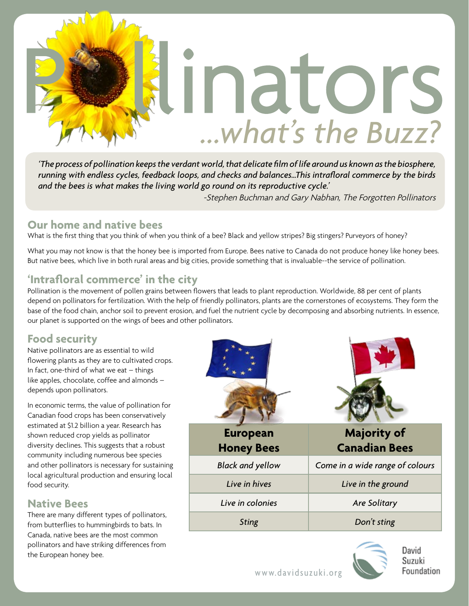

*'The process of pollination keeps the verdant world, that delicate film of life around us known as the biosphere, running with endless cycles, feedback loops, and checks and balances…This intrafloral commerce by the birds and the bees is what makes the living world go round on its reproductive cycle.'*

-Stephen Buchman and Gary Nabhan, The Forgotten Pollinators

#### **Our home and native bees**

What is the first thing that you think of when you think of a bee? Black and yellow stripes? Big stingers? Purveyors of honey?

What you may not know is that the honey bee is imported from Europe. Bees native to Canada do not produce honey like honey bees. But native bees, which live in both rural areas and big cities, provide something that is invaluable--the service of pollination.

## **'Intrafloral commerce' in the city**

Pollination is the movement of pollen grains between flowers that leads to plant reproduction. Worldwide, 88 per cent of plants depend on pollinators for fertilization. With the help of friendly pollinators, plants are the cornerstones of ecosystems. They form the base of the food chain, anchor soil to prevent erosion, and fuel the nutrient cycle by decomposing and absorbing nutrients. In essence, our planet is supported on the wings of bees and other pollinators.

## **Food security**

Native pollinators are as essential to wild flowering plants as they are to cultivated crops. In fact, one-third of what we eat – things like apples, chocolate, coffee and almonds – depends upon pollinators.

In economic terms, the value of pollination for Canadian food crops has been conservatively estimated at \$1.2 billion a year. Research has shown reduced crop yields as pollinator diversity declines. This suggests that a robust community including numerous bee species and other pollinators is necessary for sustaining local agricultural production and ensuring local food security.

#### **Native Bees**

There are many different types of pollinators, from butterflies to hummingbirds to bats. In Canada, native bees are the most common pollinators and have striking differences from the European honey bee.





David Suzuki Foundation